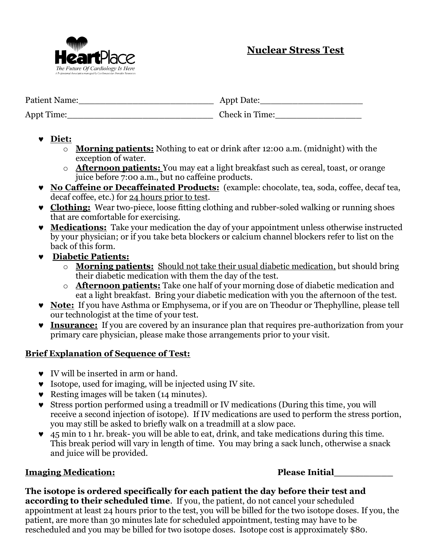

| Patient Name: | Appt Date:     |
|---------------|----------------|
| Appt Time:    | Check in Time: |

- **Diet:**
	- o **Morning patients:** Nothing to eat or drink after 12:00 a.m. (midnight) with the exception of water.
	- o **Afternoon patients:** You may eat a light breakfast such as cereal, toast, or orange juice before 7:00 a.m., but no caffeine products.
- **No Caffeine or Decaffeinated Products:** (example: chocolate, tea, soda, coffee, decaf tea, decaf coffee, etc.) for 24 hours prior to test.
- **v** Clothing: Wear two-piece, loose fitting clothing and rubber-soled walking or running shoes that are comfortable for exercising.
- **Medications:** Take your medication the day of your appointment unless otherwise instructed by your physician; or if you take beta blockers or calcium channel blockers refer to list on the back of this form.
- **Diabetic Patients:**
	- o **Morning patients:** Should not take their usual diabetic medication, but should bring their diabetic medication with them the day of the test.
	- o **Afternoon patients:** Take one half of your morning dose of diabetic medication and eat a light breakfast. Bring your diabetic medication with you the afternoon of the test.
- **Note:** If you have Asthma or Emphysema, or if you are on Theodur or Thephylline, please tell our technologist at the time of your test.
- **Insurance:** If you are covered by an insurance plan that requires pre-authorization from your primary care physician, please make those arrangements prior to your visit.

# **Brief Explanation of Sequence of Test:**

- **v** IV will be inserted in arm or hand.
- Isotope, used for imaging, will be injected using IV site.
- $\bullet$  Resting images will be taken (14 minutes).
- Stress portion performed using a treadmill or IV medications (During this time, you will receive a second injection of isotope). If IV medications are used to perform the stress portion, you may still be asked to briefly walk on a treadmill at a slow pace.
- 45 min to 1 hr. break- you will be able to eat, drink, and take medications during this time. This break period will vary in length of time. You may bring a sack lunch, otherwise a snack and juice will be provided.

# **Imaging Medication: Please Initial\_\_\_\_\_\_\_\_\_\_**

**The isotope is ordered specifically for each patient the day before their test and according to their scheduled time**. If you, the patient, do not cancel your scheduled appointment at least 24 hours prior to the test, you will be billed for the two isotope doses. If you, the patient, are more than 30 minutes late for scheduled appointment, testing may have to be rescheduled and you may be billed for two isotope doses. Isotope cost is approximately \$80.